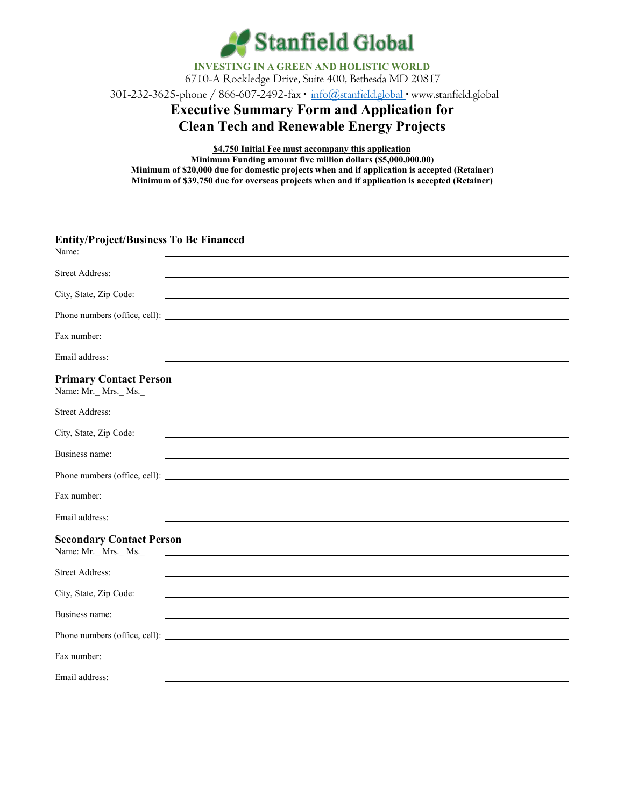

**INVESTING IN A GREEN AND HOLISTIC WORLD** 6710-A Rockledge Drive, Suite 400, Bethesda MD 20817

301-232-3625-phone / 866-607-2492-fax **∙** [info@stanfield.global](mailto:info@stanfield.global) **∙** [www.stanfield.global](http://www.stanfield.global/)

# **Executive Summary Form and Application for Clean Tech and Renewable Energy Projects**

**\$4,750 Initial Fee must accompany this application Minimum Funding amount five million dollars (\$5,000,000.00) Minimum of \$20,000 due for domestic projects when and if application is accepted (Retainer) Minimum of \$39,750 due for overseas projects when and if application is accepted (Retainer)**

| <b>Entity/Project/Business To Be Financed</b><br>Name: |                                                                                                                      |
|--------------------------------------------------------|----------------------------------------------------------------------------------------------------------------------|
| <b>Street Address:</b>                                 |                                                                                                                      |
| City, State, Zip Code:                                 |                                                                                                                      |
|                                                        |                                                                                                                      |
| Fax number:                                            |                                                                                                                      |
| Email address:                                         |                                                                                                                      |
| <b>Primary Contact Person</b><br>Name: Mr._ Mrs._ Ms._ | <u> 1980 - Johann Barbara, martin amerikan basal dan berasal dalam basal dan berasal dan berasal dan berasal dan</u> |
| <b>Street Address:</b>                                 |                                                                                                                      |
| City, State, Zip Code:                                 |                                                                                                                      |
| Business name:                                         |                                                                                                                      |
|                                                        |                                                                                                                      |
| Fax number:                                            |                                                                                                                      |
| Email address:                                         |                                                                                                                      |
| <b>Secondary Contact Person</b><br>Name: Mr. Mrs. Ms.  |                                                                                                                      |
| <b>Street Address:</b>                                 |                                                                                                                      |
| City, State, Zip Code:                                 |                                                                                                                      |
| Business name:                                         |                                                                                                                      |
|                                                        |                                                                                                                      |
| Fax number:                                            |                                                                                                                      |
| Email address:                                         |                                                                                                                      |
|                                                        |                                                                                                                      |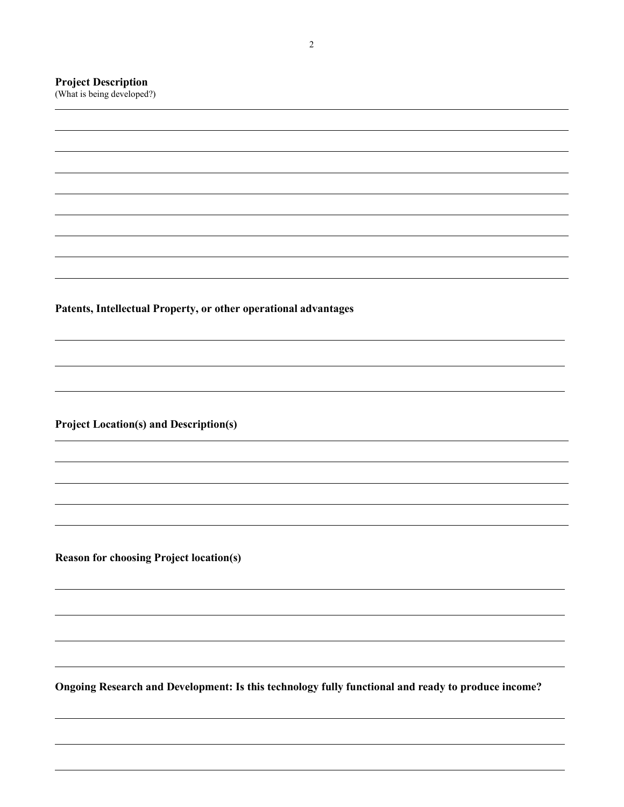## **Project Description**

(What is being developed?)

**Patents, Intellectual Property, or other operational advantages**

**Project Location(s) and Description(s)**

**Reason for choosing Project location(s)**

**Ongoing Research and Development: Is this technology fully functional and ready to produce income?**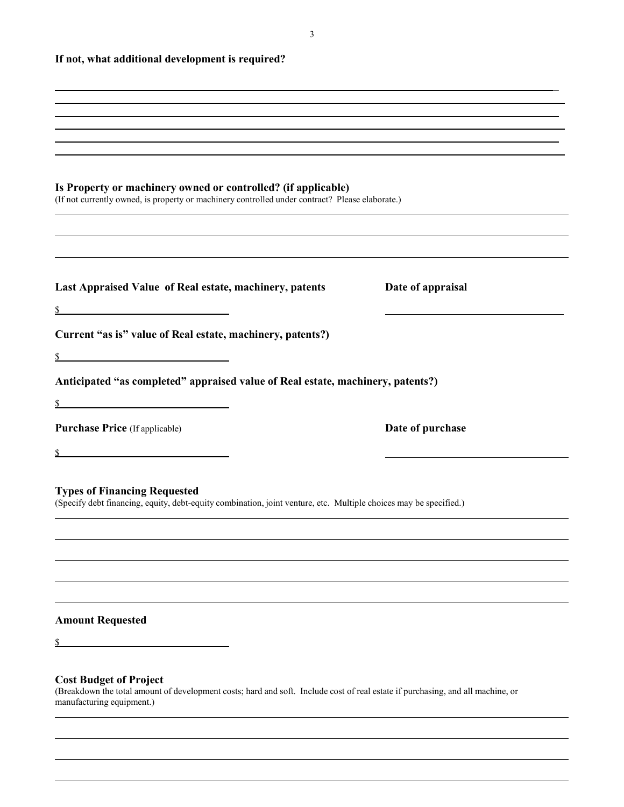3

**If not, what additional development is required?**

| ,我们也不能会有什么。""我们的人,我们也不能会有什么?""我们的人,我们也不能会有什么?""我们的人,我们也不能会有什么?""我们的人,我们也不能会有什么?""                                                                                                             |                   |
|-----------------------------------------------------------------------------------------------------------------------------------------------------------------------------------------------|-------------------|
|                                                                                                                                                                                               |                   |
|                                                                                                                                                                                               |                   |
|                                                                                                                                                                                               |                   |
| Is Property or machinery owned or controlled? (if applicable)<br>(If not currently owned, is property or machinery controlled under contract? Please elaborate.)                              |                   |
| Last Appraised Value of Real estate, machinery, patents                                                                                                                                       | Date of appraisal |
|                                                                                                                                                                                               |                   |
| Current "as is" value of Real estate, machinery, patents?)                                                                                                                                    |                   |
| $\mathbb{S}$                                                                                                                                                                                  |                   |
| Anticipated "as completed" appraised value of Real estate, machinery, patents?)                                                                                                               |                   |
|                                                                                                                                                                                               |                   |
| <b>Purchase Price</b> (If applicable)                                                                                                                                                         | Date of purchase  |
|                                                                                                                                                                                               |                   |
|                                                                                                                                                                                               |                   |
| <b>Types of Financing Requested</b><br>(Specify debt financing, equity, debt-equity combination, joint venture, etc. Multiple choices may be specified.)                                      |                   |
|                                                                                                                                                                                               |                   |
|                                                                                                                                                                                               |                   |
|                                                                                                                                                                                               |                   |
|                                                                                                                                                                                               |                   |
| <b>Amount Requested</b>                                                                                                                                                                       |                   |
|                                                                                                                                                                                               |                   |
|                                                                                                                                                                                               |                   |
| <b>Cost Budget of Project</b><br>(Breakdown the total amount of development costs; hard and soft. Include cost of real estate if purchasing, and all machine, or<br>manufacturing equipment.) |                   |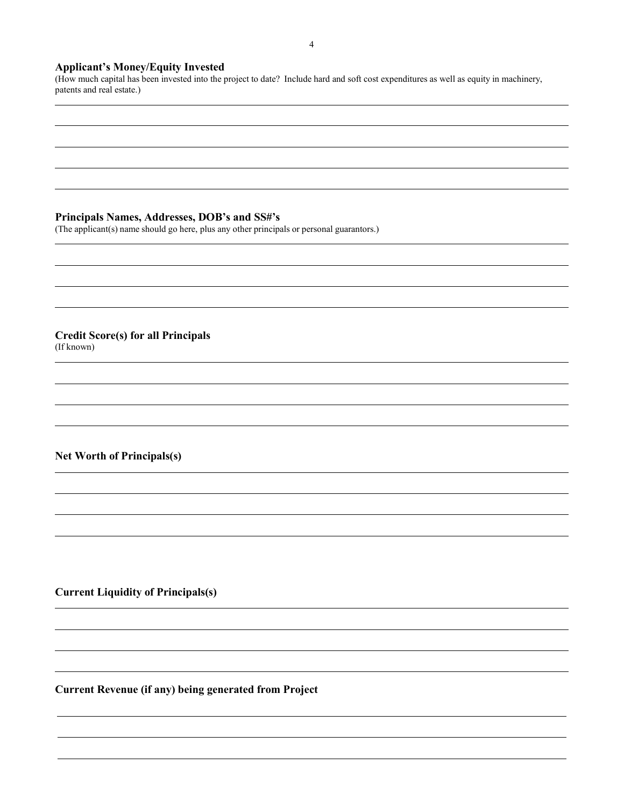## **Applicant's Money/Equity Invested**

(How much capital has been invested into the project to date? Include hard and soft cost expenditures as well as equity in machinery, patents and real estate.)

### **Principals Names, Addresses, DOB's and SS#'s**

(The applicant(s) name should go here, plus any other principals or personal guarantors.)

**Credit Score(s) for all Principals** (If known)

### **Net Worth of Principals(s)**

**Current Liquidity of Principals(s)**

**Current Revenue (if any) being generated from Project**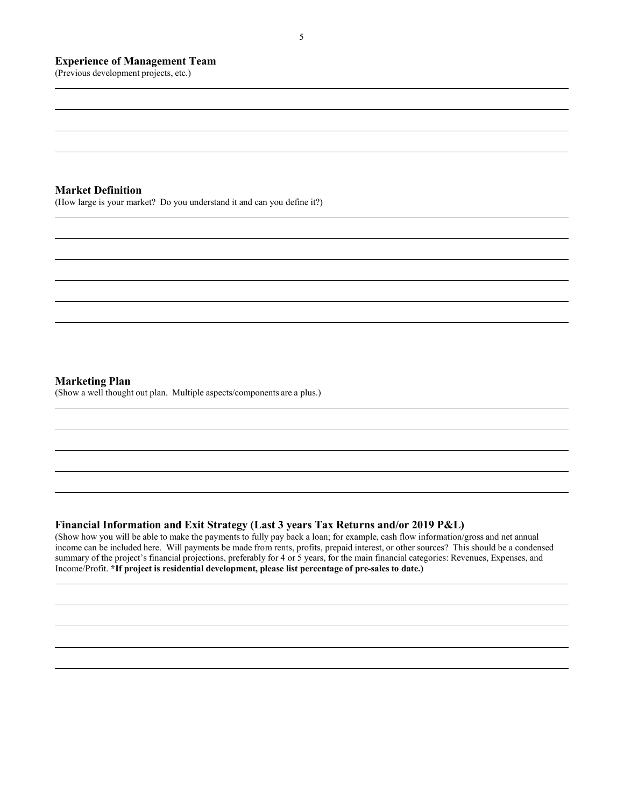#### **Experience of Management Team**

(Previous development projects, etc.)

#### **Market Definition**

(How large is your market? Do you understand it and can you define it?)

#### **Marketing Plan**

(Show a well thought out plan. Multiple aspects/components are a plus.)

#### **Financial Information and Exit Strategy (Last 3 years Tax Returns and/or 2019 P&L)**

(Show how you will be able to make the payments to fully pay back a loan; for example, cash flow information/gross and net annual income can be included here. Will payments be made from rents, profits, prepaid interest, or other sources? This should be a condensed summary of the project's financial projections, preferably for 4 or 5 years, for the main financial categories: Revenues, Expenses, and Income/Profit. **\*If project is residential development, please list percentage of pre-sales to date.)**